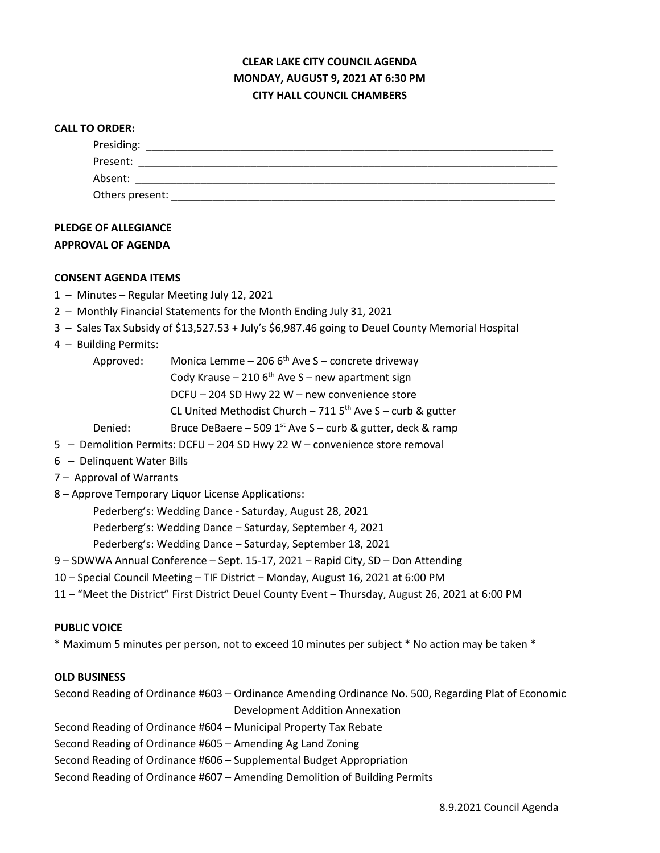# **CLEAR LAKE CITY COUNCIL AGENDA MONDAY, AUGUST 9, 2021 AT 6:30 PM CITY HALL COUNCIL CHAMBERS**

#### **CALL TO ORDER:**

| Presiding:      |  |  |
|-----------------|--|--|
| Present:        |  |  |
| Absent:         |  |  |
| Others present: |  |  |

## **PLEDGE OF ALLEGIANCE APPROVAL OF AGENDA**

#### **CONSENT AGENDA ITEMS**

- 1 Minutes Regular Meeting July 12, 2021
- 2 Monthly Financial Statements for the Month Ending July 31, 2021
- 3 Sales Tax Subsidy of \$13,527.53 + July's \$6,987.46 going to Deuel County Memorial Hospital
- 4 Building Permits:
	- Approved: Monica Lemme  $-$  206 6<sup>th</sup> Ave S concrete driveway Cody Krause – 210  $6<sup>th</sup>$  Ave S – new apartment sign DCFU – 204 SD Hwy 22 W – new convenience store CL United Methodist Church – 711  $5<sup>th</sup>$  Ave S – curb & gutter Denied: Bruce DeBaere – 509 1st Ave S – curb & gutter, deck & ramp
- 5 Demolition Permits: DCFU 204 SD Hwy 22 W convenience store removal
- 6 Delinquent Water Bills
- 7 Approval of Warrants
- 8 Approve Temporary Liquor License Applications:

Pederberg's: Wedding Dance - Saturday, August 28, 2021

Pederberg's: Wedding Dance – Saturday, September 4, 2021

Pederberg's: Wedding Dance – Saturday, September 18, 2021

- 9 SDWWA Annual Conference Sept. 15-17, 2021 Rapid City, SD Don Attending
- 10 Special Council Meeting TIF District Monday, August 16, 2021 at 6:00 PM
- 11 "Meet the District" First District Deuel County Event Thursday, August 26, 2021 at 6:00 PM

#### **PUBLIC VOICE**

\* Maximum 5 minutes per person, not to exceed 10 minutes per subject \* No action may be taken \*

#### **OLD BUSINESS**

Second Reading of Ordinance #603 – Ordinance Amending Ordinance No. 500, Regarding Plat of Economic Development Addition Annexation

Second Reading of Ordinance #604 – Municipal Property Tax Rebate

Second Reading of Ordinance #605 – Amending Ag Land Zoning

Second Reading of Ordinance #606 – Supplemental Budget Appropriation

Second Reading of Ordinance #607 – Amending Demolition of Building Permits